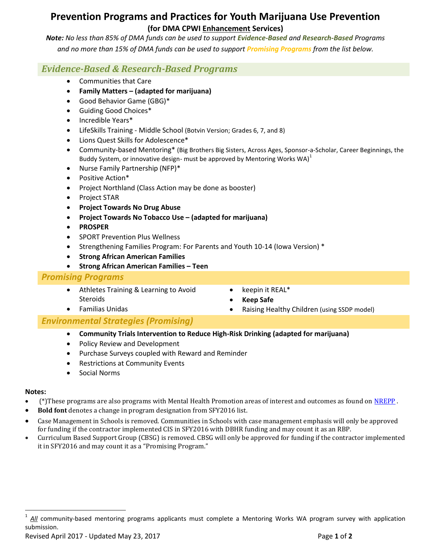# **Prevention Programs and Practices for Youth Marijuana Use Prevention (for DMA CPWI Enhancement Services)**

*Note: No less than 85% of DMA funds can be used to support Evidence-Based and Research-Based Programs and no more than 15% of DMA funds can be used to support Promising Programs from the list below.*

# *Evidence-Based & Research-Based Programs*

- Communities that Care
- **Family Matters – (adapted for marijuana)**
- Good Behavior Game (GBG)\*
- Guiding Good Choices\*
- Incredible Years\*
- LifeSkills Training Middle School (Botvin Version; Grades 6, 7, and 8)
- Lions Quest Skills for Adolescence\*
- Community-based Mentoring\* (Big Brothers Big Sisters, Across Ages, Sponsor-a-Scholar, Career Beginnings, the Buddy System, or innovative design- must be approved by Mentoring Works  $WA)^1$
- Nurse Family Partnership (NFP)\*
- Positive Action\*
- Project Northland (Class Action may be done as booster)
- Project STAR
- **Project Towards No Drug Abuse**
- **Project Towards No Tobacco Use – (adapted for marijuana)**
- **PROSPER**
- SPORT Prevention Plus Wellness
- Strengthening Families Program: For Parents and Youth 10-14 (Iowa Version) \*
- **Strong African American Families**
- **Strong African American Families – Teen**

## *Promising Programs*

- Athletes Training & Learning to Avoid Steroids
- keepin it REAL\*
- **Keep Safe**
- Raising Healthy Children (using SSDP model)

## *Environmental Strategies (Promising)*

- **Community Trials Intervention to Reduce High-Risk Drinking (adapted for marijuana)**
- Policy Review and Development
- Purchase Surveys coupled with Reward and Reminder
- Restrictions at Community Events
- Social Norms

Familias Unidas

### **Notes:**

l

- (\*)These programs are also programs with Mental Health Promotion areas of interest and outcomes as found on [NREPP](http://www.samhsa.gov/nrepp) .
- **Bold font** denotes a change in program designation from SFY2016 list.
- Case Management in Schools is removed. Communities in Schools with case management emphasis will only be approved for funding if the contractor implemented CIS in SFY2016 with DBHR funding and may count it as an RBP.
- Curriculum Based Support Group (CBSG) is removed. CBSG will only be approved for funding if the contractor implemented it in SFY2016 and may count it as a "Promising Program."

<sup>1</sup> *All* community-based mentoring programs applicants must complete a Mentoring Works WA program survey with application submission.